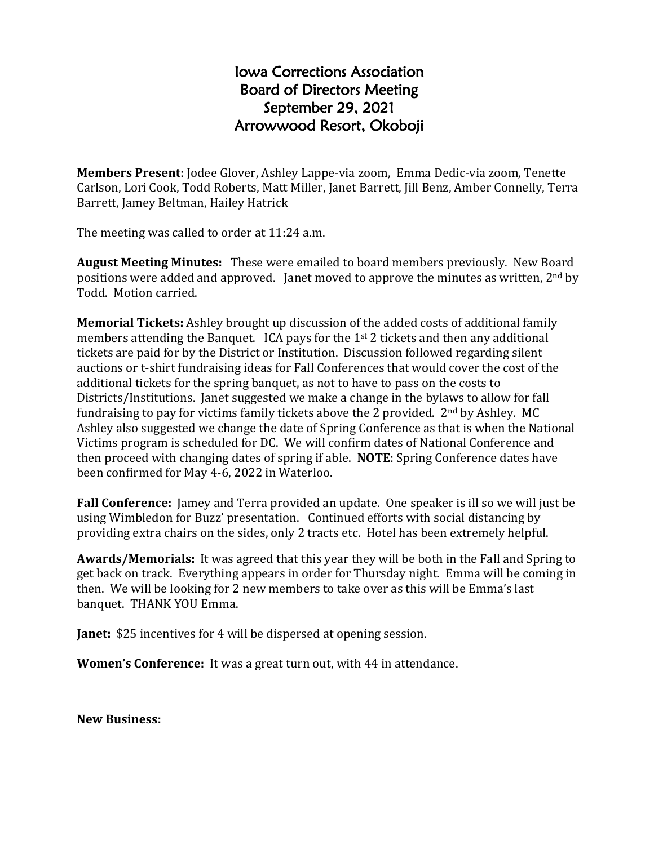## Iowa Corrections Association Board of Directors Meeting September 29, 2021 Arrowwood Resort, Okoboji

**Members Present**: Jodee Glover, Ashley Lappe-via zoom, Emma Dedic-via zoom, Tenette Carlson, Lori Cook, Todd Roberts, Matt Miller, Janet Barrett, Jill Benz, Amber Connelly, Terra Barrett, Jamey Beltman, Hailey Hatrick

The meeting was called to order at 11:24 a.m.

**August Meeting Minutes:** These were emailed to board members previously. New Board positions were added and approved. Janet moved to approve the minutes as written, 2nd by Todd. Motion carried.

**Memorial Tickets:** Ashley brought up discussion of the added costs of additional family members attending the Banquet. ICA pays for the 1<sup>st</sup> 2 tickets and then any additional tickets are paid for by the District or Institution. Discussion followed regarding silent auctions or t-shirt fundraising ideas for Fall Conferences that would cover the cost of the additional tickets for the spring banquet, as not to have to pass on the costs to Districts/Institutions. Janet suggested we make a change in the bylaws to allow for fall fundraising to pay for victims family tickets above the 2 provided. 2nd by Ashley. MC Ashley also suggested we change the date of Spring Conference as that is when the National Victims program is scheduled for DC. We will confirm dates of National Conference and then proceed with changing dates of spring if able. **NOTE**: Spring Conference dates have been confirmed for May 4-6, 2022 in Waterloo.

**Fall Conference:** Jamey and Terra provided an update. One speaker is ill so we will just be using Wimbledon for Buzz' presentation. Continued efforts with social distancing by providing extra chairs on the sides, only 2 tracts etc. Hotel has been extremely helpful.

**Awards/Memorials:** It was agreed that this year they will be both in the Fall and Spring to get back on track. Everything appears in order for Thursday night. Emma will be coming in then. We will be looking for 2 new members to take over as this will be Emma's last banquet. THANK YOU Emma.

**Janet:** \$25 incentives for 4 will be dispersed at opening session.

**Women's Conference:** It was a great turn out, with 44 in attendance.

**New Business:**